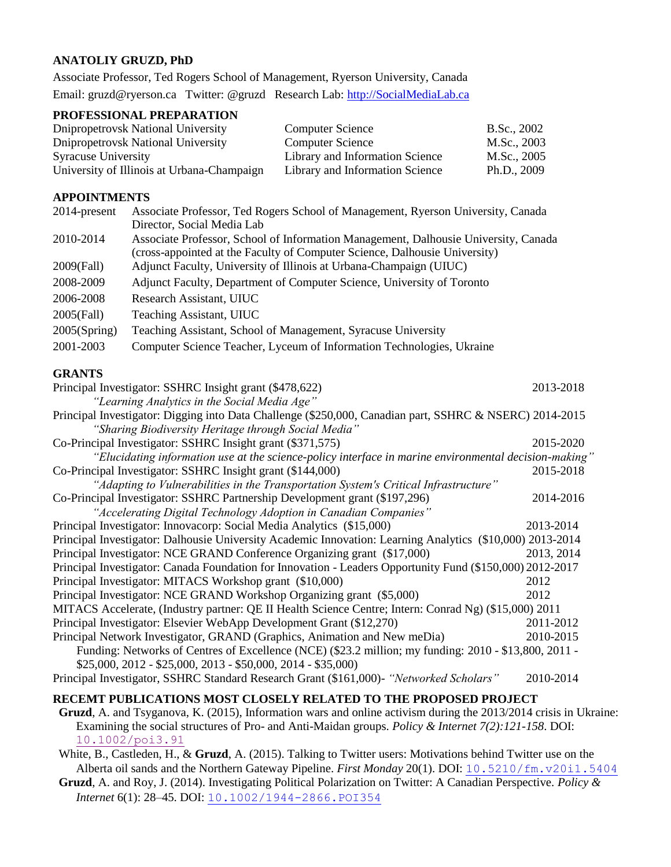## **ANATOLIY GRUZD, PhD**

Associate Professor, Ted Rogers School of Management, Ryerson University, Canada Email: gruzd@ryerson.ca Twitter: @gruzd Research Lab: [http://SocialMediaLab.ca](http://socialmedialab.ca/)

## **PROFESSIONAL PREPARATION**

| Dnipropetrovsk National University         | <b>Computer Science</b>         | B.Sc., 2002 |
|--------------------------------------------|---------------------------------|-------------|
| Dnipropetrovsk National University         | <b>Computer Science</b>         | M.Sc., 2003 |
| <b>Syracuse University</b>                 | Library and Information Science | M.Sc., 2005 |
| University of Illinois at Urbana-Champaign | Library and Information Science | Ph.D., 2009 |

#### **APPOINTMENTS**

| 2014-present                                            | Associate Professor, Ted Rogers School of Management, Ryerson University, Canada    |  |  |
|---------------------------------------------------------|-------------------------------------------------------------------------------------|--|--|
|                                                         | Director, Social Media Lab                                                          |  |  |
| 2010-2014                                               | Associate Professor, School of Information Management, Dalhousie University, Canada |  |  |
|                                                         | (cross-appointed at the Faculty of Computer Science, Dalhousie University)          |  |  |
| 2009(Fall)                                              | Adjunct Faculty, University of Illinois at Urbana-Champaign (UIUC)                  |  |  |
| 2008-2009                                               | Adjunct Faculty, Department of Computer Science, University of Toronto              |  |  |
| 2006-2008                                               | Research Assistant, UIUC                                                            |  |  |
| 2005(Fall)                                              | Teaching Assistant, UIUC                                                            |  |  |
| 2005(Spring)                                            | Teaching Assistant, School of Management, Syracuse University                       |  |  |
| 2001-2003                                               | Computer Science Teacher, Lyceum of Information Technologies, Ukraine               |  |  |
| <b>GRANTS</b>                                           |                                                                                     |  |  |
| Principal Investigator: SSHRC Insight grant (\$478,622) |                                                                                     |  |  |
|                                                         | "Learning Analytics in the Social Media Age"                                        |  |  |

Principal Investigator: Digging into Data Challenge (\$250,000, Canadian part, SSHRC & NSERC) 2014-2015 *"Sharing Biodiversity Heritage through Social Media"*

Co-Principal Investigator: SSHRC Insight grant (\$371,575) 2015-2020 *"Elucidating information use at the science-policy interface in marine environmental decision-making"* Co-Principal Investigator: SSHRC Insight grant (\$144,000) 2015-2018 *"Adapting to Vulnerabilities in the Transportation System's Critical Infrastructure"* Co-Principal Investigator: SSHRC Partnership Development grant (\$197,296) 2014-2016 *"Accelerating Digital Technology Adoption in Canadian Companies"* Principal Investigator: Innovacorp: Social Media Analytics (\$15,000) 2013-2014 Principal Investigator: Dalhousie University Academic Innovation: Learning Analytics (\$10,000) 2013-2014 Principal Investigator: NCE GRAND Conference Organizing grant (\$17,000) 2013, 2014 Principal Investigator: Canada Foundation for Innovation - Leaders Opportunity Fund (\$150,000) 2012-2017 Principal Investigator: MITACS Workshop grant (\$10,000) 2012

Principal Investigator: NCE GRAND Workshop Organizing grant (\$5,000) 2012 MITACS Accelerate, (Industry partner: QE II Health Science Centre; Intern: Conrad Ng) (\$15,000) 2011 Principal Investigator: Elsevier WebApp Development Grant (\$12,270) 2011-2012 Principal Network Investigator, GRAND (Graphics, Animation and New meDia) 2010-2015 Funding: Networks of Centres of Excellence (NCE) (\$23.2 million; my funding: 2010 - \$13,800, 2011 - \$25,000, 2012 - \$25,000, 2013 - \$50,000, 2014 - \$35,000) Principal Investigator, SSHRC Standard Research Grant (\$161,000)- *"Networked Scholars"* 2010-2014

# **RECEMT PUBLICATIONS MOST CLOSELY RELATED TO THE PROPOSED PROJECT**

**Gruzd**, A. and Tsyganova, K. (2015), Information wars and online activism during the 2013/2014 crisis in Ukraine: Examining the social structures of Pro- and Anti-Maidan groups. *Policy & Internet 7(2):121-158*. DOI: [10.1002/poi3.91](http://onlinelibrary.wiley.com/doi/10.1002/poi3.91/abstract)

White, B., Castleden, H., & **Gruzd**, A. (2015). Talking to Twitter users: Motivations behind Twitter use on the Alberta oil sands and the Northern Gateway Pipeline. *First Monday* 20(1). DOI: [10.5210/fm.v20i1.5404](http://www.firstmonday.dk/ojs/index.php/fm/article/view/5404)

**Gruzd**, A. and Roy, J. (2014). Investigating Political Polarization on Twitter: A Canadian Perspective. *Policy & Internet* 6(1): 28–45. DOI: [10.1002/1944-2866.POI354](http://dx.doi.org/10.1002/1944-2866.POI354)